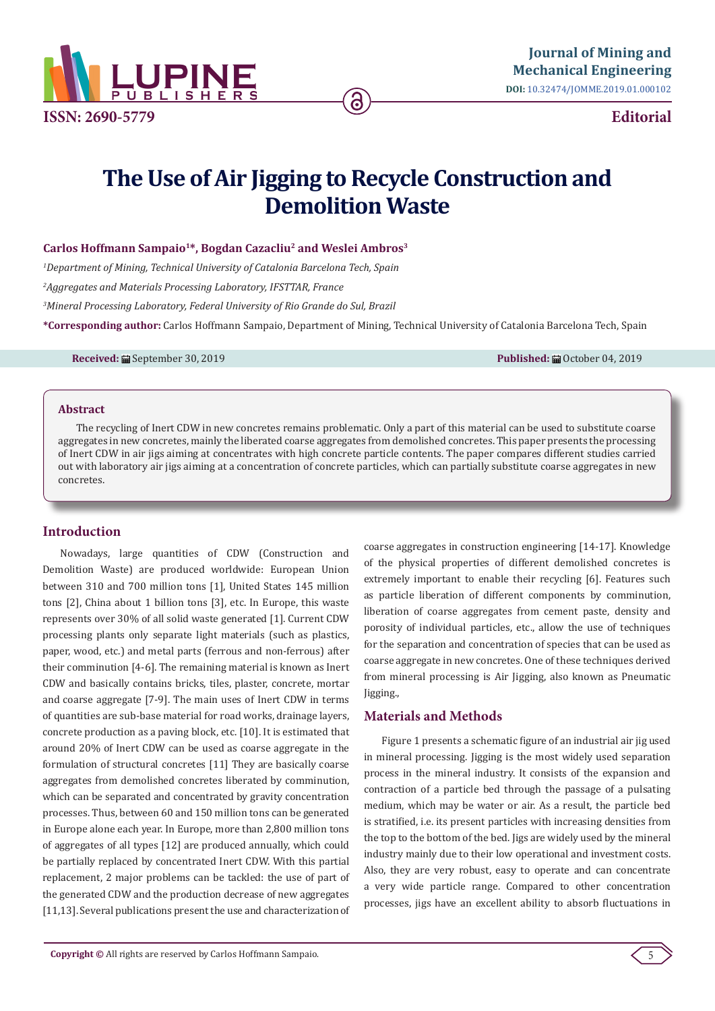

**Editorial**

# **The Use of Air Jigging to Recycle Construction and Demolition Waste**

### **Carlos Hoffmann Sampaio1\*, Bogdan Cazacliu2 and Weslei Ambros3**

 *Department of Mining, Technical University of Catalonia Barcelona Tech, Spain Aggregates and Materials Processing Laboratory, IFSTTAR, France Mineral Processing Laboratory, Federal University of Rio Grande do Sul, Brazil* **\*Corresponding author:** Carlos Hoffmann Sampaio, Department of Mining, Technical University of Catalonia Barcelona Tech, Spain

**Received:** ■ September 30, 2019 **Published:** ■ October 04, 2019 **Published:** ■ October 04, 2019

#### **Abstract**

The recycling of Inert CDW in new concretes remains problematic. Only a part of this material can be used to substitute coarse aggregates in new concretes, mainly the liberated coarse aggregates from demolished concretes. This paper presents the processing of Inert CDW in air jigs aiming at concentrates with high concrete particle contents. The paper compares different studies carried out with laboratory air jigs aiming at a concentration of concrete particles, which can partially substitute coarse aggregates in new concretes.

#### **Introduction**

Nowadays, large quantities of CDW (Construction and Demolition Waste) are produced worldwide: European Union between 310 and 700 million tons [1], United States 145 million tons [2], China about 1 billion tons [3], etc. In Europe, this waste represents over 30% of all solid waste generated [1]. Current CDW processing plants only separate light materials (such as plastics, paper, wood, etc.) and metal parts (ferrous and non-ferrous) after their comminution [4-6]. The remaining material is known as Inert CDW and basically contains bricks, tiles, plaster, concrete, mortar and coarse aggregate [7-9]. The main uses of Inert CDW in terms of quantities are sub-base material for road works, drainage layers, concrete production as a paving block, etc. [10]. It is estimated that around 20% of Inert CDW can be used as coarse aggregate in the formulation of structural concretes [11] They are basically coarse aggregates from demolished concretes liberated by comminution, which can be separated and concentrated by gravity concentration processes. Thus, between 60 and 150 million tons can be generated in Europe alone each year. In Europe, more than 2,800 million tons of aggregates of all types [12] are produced annually, which could be partially replaced by concentrated Inert CDW. With this partial replacement, 2 major problems can be tackled: the use of part of the generated CDW and the production decrease of new aggregates [11,13]. Several publications present the use and characterization of

coarse aggregates in construction engineering [14-17]. Knowledge of the physical properties of different demolished concretes is extremely important to enable their recycling [6]. Features such as particle liberation of different components by comminution, liberation of coarse aggregates from cement paste, density and porosity of individual particles, etc., allow the use of techniques for the separation and concentration of species that can be used as coarse aggregate in new concretes. One of these techniques derived from mineral processing is Air Jigging, also known as Pneumatic Jigging.,

#### **Materials and Methods**

Figure 1 presents a schematic figure of an industrial air jig used in mineral processing. Jigging is the most widely used separation process in the mineral industry. It consists of the expansion and contraction of a particle bed through the passage of a pulsating medium, which may be water or air. As a result, the particle bed is stratified, i.e. its present particles with increasing densities from the top to the bottom of the bed. Jigs are widely used by the mineral industry mainly due to their low operational and investment costs. Also, they are very robust, easy to operate and can concentrate a very wide particle range. Compared to other concentration processes, jigs have an excellent ability to absorb fluctuations in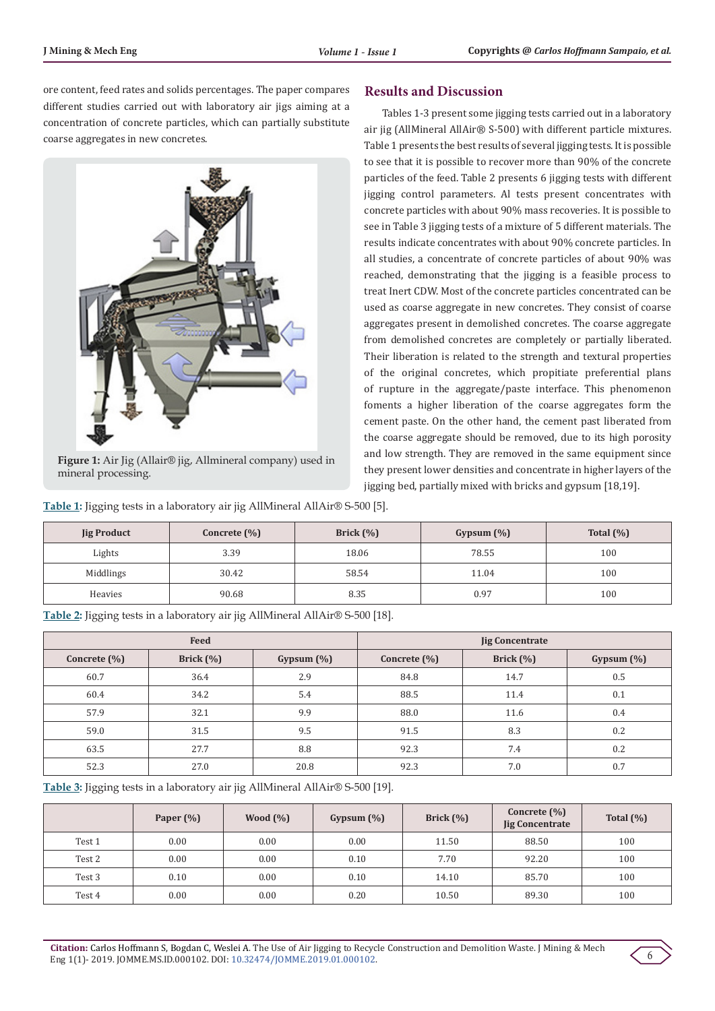ore content, feed rates and solids percentages. The paper compares different studies carried out with laboratory air jigs aiming at a concentration of concrete particles, which can partially substitute coarse aggregates in new concretes.



**Figure 1:** Air Jig (Allair® jig, Allmineral company) used in mineral processing.

## **Results and Discussion**

Tables 1-3 present some jigging tests carried out in a laboratory air jig (AllMineral AllAir® S-500) with different particle mixtures. Table 1 presents the best results of several jigging tests. It is possible to see that it is possible to recover more than 90% of the concrete particles of the feed. Table 2 presents 6 jigging tests with different jigging control parameters. Al tests present concentrates with concrete particles with about 90% mass recoveries. It is possible to see in Table 3 jigging tests of a mixture of 5 different materials. The results indicate concentrates with about 90% concrete particles. In all studies, a concentrate of concrete particles of about 90% was reached, demonstrating that the jigging is a feasible process to treat Inert CDW. Most of the concrete particles concentrated can be used as coarse aggregate in new concretes. They consist of coarse aggregates present in demolished concretes. The coarse aggregate from demolished concretes are completely or partially liberated. Their liberation is related to the strength and textural properties of the original concretes, which propitiate preferential plans of rupture in the aggregate/paste interface. This phenomenon foments a higher liberation of the coarse aggregates form the cement paste. On the other hand, the cement past liberated from the coarse aggregate should be removed, due to its high porosity and low strength. They are removed in the same equipment since they present lower densities and concentrate in higher layers of the jigging bed, partially mixed with bricks and gypsum [18,19].

**Table 1:** Jigging tests in a laboratory air jig AllMineral AllAir® S-500 [5].

| <b>Jig Product</b> | Concrete $(\% )$ | Brick $(\%)$ | Gypsum $(\%)$ | Total $(\% )$ |
|--------------------|------------------|--------------|---------------|---------------|
| Lights             | 3.39             | 18.06        | 78.55         | 100           |
| Middlings          | 30.42            | 58.54        | 11.04         | 100           |
| Heavies            | 90.68            | 8.35         | 0.97          | 100           |

**Table 2:** Jigging tests in a laboratory air jig AllMineral AllAir® S-500 [18].

|              | Feed          |               | <b>Jig Concentrate</b> |               |               |  |
|--------------|---------------|---------------|------------------------|---------------|---------------|--|
| Concrete (%) | Brick $(\% )$ | Gypsum $(\%)$ | Concrete (%)           | Brick $(\% )$ | Gypsum $(\%)$ |  |
| 60.7         | 36.4          | 2.9           | 84.8                   | 14.7          | 0.5           |  |
| 60.4         | 34.2          | 5.4           | 88.5                   | 11.4          | 0.1           |  |
| 57.9         | 32.1          | 9.9           | 88.0                   | 11.6          | 0.4           |  |
| 59.0         | 31.5          | 9.5           | 91.5                   | 8.3           | 0.2           |  |
| 63.5         | 27.7          | 8.8           | 92.3                   | 7.4           | 0.2           |  |
| 52.3         | 27.0          | 20.8          | 92.3                   | 7.0           | 0.7           |  |

**Table 3:** Jigging tests in a laboratory air jig AllMineral AllAir® S-500 [19].

|        | Paper $(\% )$ | Wood $(\% )$ | Gypsum $(\%)$ | Brick $(\%)$ | Concrete $(\% )$<br><b>Jig Concentrate</b> | Total $(\% )$ |
|--------|---------------|--------------|---------------|--------------|--------------------------------------------|---------------|
| Test 1 | 0.00          | 0.00         | 0.00          | 11.50        | 88.50                                      | 100           |
| Test 2 | 0.00          | 0.00         | 0.10          | 7.70         | 92.20                                      | 100           |
| Test 3 | 0.10          | 0.00         | 0.10          | 14.10        | 85.70                                      | 100           |
| Test 4 | 0.00          | 0.00         | 0.20          | 10.50        | 89.30                                      | 100           |